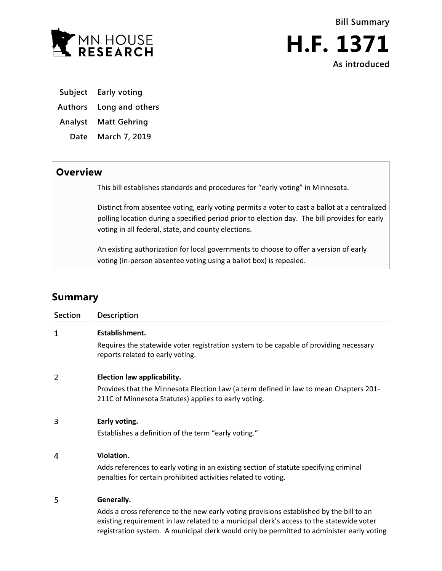

**Bill Summary H.F. 1371 As introduced**

**Subject Early voting**

**Authors Long and others**

**Analyst Matt Gehring**

**Date March 7, 2019**

## **Overview**

This bill establishes standards and procedures for "early voting" in Minnesota.

Distinct from absentee voting, early voting permits a voter to cast a ballot at a centralized polling location during a specified period prior to election day. The bill provides for early voting in all federal, state, and county elections.

An existing authorization for local governments to choose to offer a version of early voting (in-person absentee voting using a ballot box) is repealed.

# **Summary**

| Section | Description                                                                                                                                                                                                                                                                      |
|---------|----------------------------------------------------------------------------------------------------------------------------------------------------------------------------------------------------------------------------------------------------------------------------------|
| 1       | Establishment.                                                                                                                                                                                                                                                                   |
|         | Requires the statewide voter registration system to be capable of providing necessary<br>reports related to early voting.                                                                                                                                                        |
| 2       | Election law applicability.                                                                                                                                                                                                                                                      |
|         | Provides that the Minnesota Election Law (a term defined in law to mean Chapters 201-<br>211C of Minnesota Statutes) applies to early voting.                                                                                                                                    |
| 3       | Early voting.                                                                                                                                                                                                                                                                    |
|         | Establishes a definition of the term "early voting."                                                                                                                                                                                                                             |
| 4       | Violation.                                                                                                                                                                                                                                                                       |
|         | Adds references to early voting in an existing section of statute specifying criminal<br>penalties for certain prohibited activities related to voting.                                                                                                                          |
| 5       | Generally.                                                                                                                                                                                                                                                                       |
|         | Adds a cross reference to the new early voting provisions established by the bill to an<br>existing requirement in law related to a municipal clerk's access to the statewide voter<br>registration system. A municipal clerk would only be permitted to administer early voting |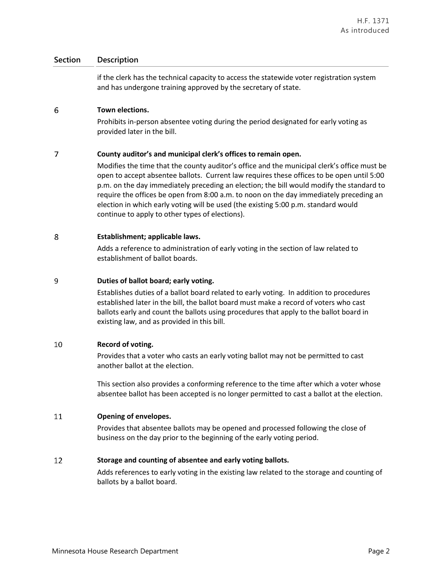### **Section Description**

if the clerk has the technical capacity to access the statewide voter registration system and has undergone training approved by the secretary of state.

#### 6 **Town elections.**

Prohibits in-person absentee voting during the period designated for early voting as provided later in the bill.

#### $\overline{7}$ **County auditor's and municipal clerk's offices to remain open.**

Modifies the time that the county auditor's office and the municipal clerk's office must be open to accept absentee ballots. Current law requires these offices to be open until 5:00 p.m. on the day immediately preceding an election; the bill would modify the standard to require the offices be open from 8:00 a.m. to noon on the day immediately preceding an election in which early voting will be used (the existing 5:00 p.m. standard would continue to apply to other types of elections).

#### 8 **Establishment; applicable laws.**

Adds a reference to administration of early voting in the section of law related to establishment of ballot boards.

#### 9 **Duties of ballot board; early voting.**

Establishes duties of a ballot board related to early voting. In addition to procedures established later in the bill, the ballot board must make a record of voters who cast ballots early and count the ballots using procedures that apply to the ballot board in existing law, and as provided in this bill.

#### 10 **Record of voting.**

Provides that a voter who casts an early voting ballot may not be permitted to cast another ballot at the election.

This section also provides a conforming reference to the time after which a voter whose absentee ballot has been accepted is no longer permitted to cast a ballot at the election.

#### 11 **Opening of envelopes.**

Provides that absentee ballots may be opened and processed following the close of business on the day prior to the beginning of the early voting period.

#### 12 **Storage and counting of absentee and early voting ballots.**

Adds references to early voting in the existing law related to the storage and counting of ballots by a ballot board.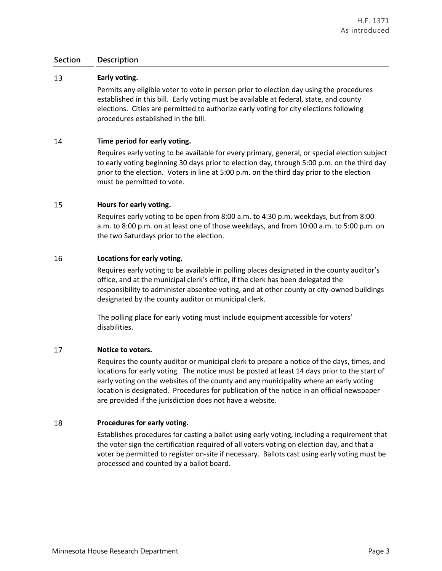### **Section Description**

#### 13 **Early voting.**

Permits any eligible voter to vote in person prior to election day using the procedures established in this bill. Early voting must be available at federal, state, and county elections. Cities are permitted to authorize early voting for city elections following procedures established in the bill.

#### 14 **Time period for early voting.**

Requires early voting to be available for every primary, general, or special election subject to early voting beginning 30 days prior to election day, through 5:00 p.m. on the third day prior to the election. Voters in line at 5:00 p.m. on the third day prior to the election must be permitted to vote.

#### 15 **Hours for early voting.**

Requires early voting to be open from 8:00 a.m. to 4:30 p.m. weekdays, but from 8:00 a.m. to 8:00 p.m. on at least one of those weekdays, and from 10:00 a.m. to 5:00 p.m. on the two Saturdays prior to the election.

#### 16 **Locations for early voting.**

Requires early voting to be available in polling places designated in the county auditor's office, and at the municipal clerk's office, if the clerk has been delegated the responsibility to administer absentee voting, and at other county or city-owned buildings designated by the county auditor or municipal clerk.

The polling place for early voting must include equipment accessible for voters' disabilities.

#### 17 **Notice to voters.**

Requires the county auditor or municipal clerk to prepare a notice of the days, times, and locations for early voting. The notice must be posted at least 14 days prior to the start of early voting on the websites of the county and any municipality where an early voting location is designated. Procedures for publication of the notice in an official newspaper are provided if the jurisdiction does not have a website.

#### 18 **Procedures for early voting.**

Establishes procedures for casting a ballot using early voting, including a requirement that the voter sign the certification required of all voters voting on election day, and that a voter be permitted to register on-site if necessary. Ballots cast using early voting must be processed and counted by a ballot board.